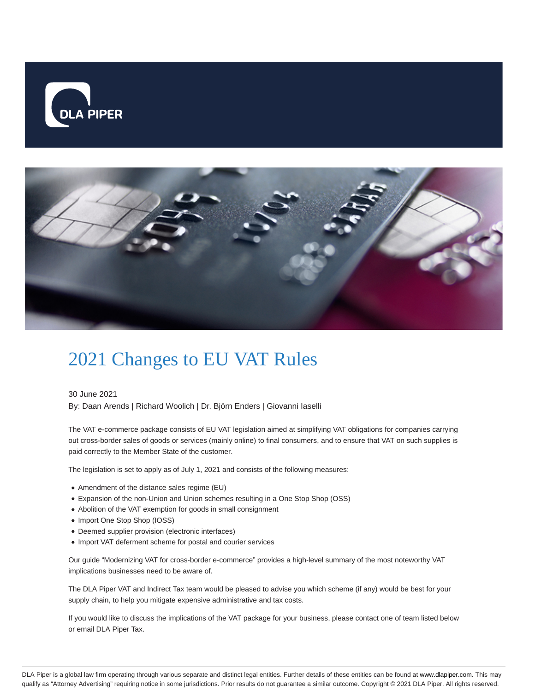



## 2021 Changes to EU VAT Rules

30 June 2021

By: Daan Arends | Richard Woolich | Dr. Björn Enders | Giovanni Iaselli

The VAT e-commerce package consists of EU VAT legislation aimed at simplifying VAT obligations for companies carrying out cross-border sales of goods or services (mainly online) to final consumers, and to ensure that VAT on such supplies is paid correctly to the Member State of the customer.

The legislation is set to apply as of July 1, 2021 and consists of the following measures:

- Amendment of the distance sales regime (EU)
- Expansion of the non-Union and Union schemes resulting in a One Stop Shop (OSS)
- Abolition of the VAT exemption for goods in small consignment
- Import One Stop Shop (IOSS)
- Deemed supplier provision (electronic interfaces)
- Import VAT deferment scheme for postal and courier services

Our guide "Modernizing VAT for cross-border e-commerce" provides a high-level summary of the most noteworthy VAT implications businesses need to be aware of.

The DLA Piper VAT and Indirect Tax team would be pleased to advise you which scheme (if any) would be best for your supply chain, to help you mitigate expensive administrative and tax costs.

If you would like to discuss the implications of the VAT package for your business, please contact one of team listed below or email DLA Piper Tax.